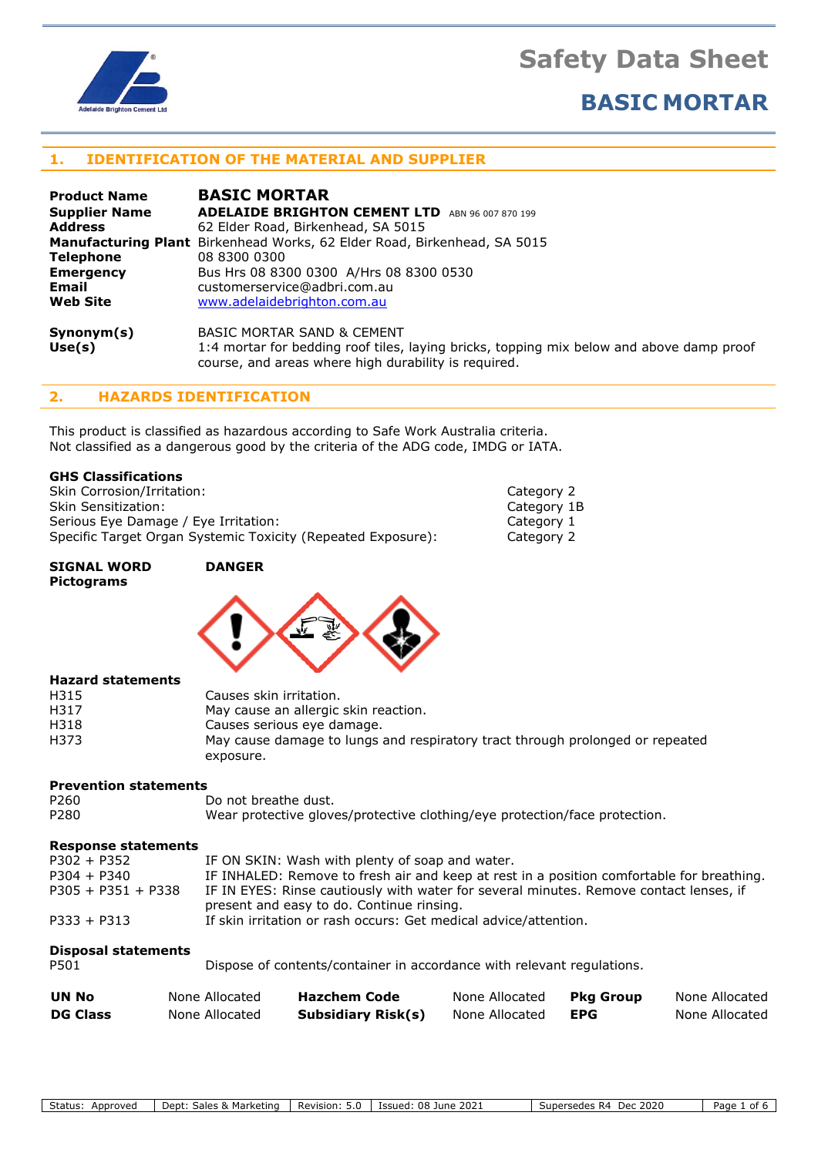

### **BASIC MORTAR**

### **1. IDENTIFICATION OF THE MATERIAL AND SUPPLIER**

| <b>Product Name</b>  | <b>BASIC MORTAR</b>                                                                                                                              |
|----------------------|--------------------------------------------------------------------------------------------------------------------------------------------------|
| <b>Supplier Name</b> | <b>ADELAIDE BRIGHTON CEMENT LTD</b> ABN 96 007 870 199                                                                                           |
| <b>Address</b>       | 62 Elder Road, Birkenhead, SA 5015                                                                                                               |
|                      | <b>Manufacturing Plant</b> Birkenhead Works, 62 Elder Road, Birkenhead, SA 5015                                                                  |
| <b>Telephone</b>     | 08 8300 0300                                                                                                                                     |
| <b>Emergency</b>     | Bus Hrs 08 8300 0300 A/Hrs 08 8300 0530                                                                                                          |
| Email                | customerservice@adbri.com.au                                                                                                                     |
| <b>Web Site</b>      | www.adelaidebrighton.com.au                                                                                                                      |
| Symonym(s)           | BASIC MORTAR SAND & CEMENT                                                                                                                       |
| Use(s)               | 1:4 mortar for bedding roof tiles, laying bricks, topping mix below and above damp proof<br>course, and areas where high durability is required. |

#### **2. HAZARDS IDENTIFICATION**

This product is classified as hazardous according to Safe Work Australia criteria. Not classified as a dangerous good by the criteria of the ADG code, IMDG or IATA.

#### **GHS Classifications**

Skin Corrosion/Irritation: Skin Sensitization: Serious Eye Damage / Eye Irritation: Specific Target Organ Systemic Toxicity (Repeated Exposure):

| Category 2  |  |
|-------------|--|
| Category 1B |  |
| Category 1  |  |
| Category 2  |  |

#### **SIGNAL WORD DANGER Pictograms**



#### **Hazard statements**

| H315 | Causes skin irritation.                                                       |
|------|-------------------------------------------------------------------------------|
| H317 | May cause an allergic skin reaction.                                          |
| H318 | Causes serious eye damage.                                                    |
| H373 | May cause damage to lungs and respiratory tract through prolonged or repeated |
|      | exposure.                                                                     |

#### **Prevention statements**

| P <sub>260</sub> | Do not breathe dust.                                                       |
|------------------|----------------------------------------------------------------------------|
| P <sub>280</sub> | Wear protective gloves/protective clothing/eye protection/face protection. |

#### **Response statements**

| $P302 + P352$        | IF ON SKIN: Wash with plenty of soap and water.                                           |
|----------------------|-------------------------------------------------------------------------------------------|
| $P304 + P340$        | IF INHALED: Remove to fresh air and keep at rest in a position comfortable for breathing. |
| $P305 + P351 + P338$ | IF IN EYES: Rinse cautiously with water for several minutes. Remove contact lenses, if    |
|                      | present and easy to do. Continue rinsing.                                                 |
| $P333 + P313$        | If skin irritation or rash occurs: Get medical advice/attention.                          |

#### **Disposal statements**

P501 Dispose of contents/container in accordance with relevant regulations.

| <b>UN No</b>    | None Allocated | Hazchem Code              | None Allocated | Pkg Group | None Allocated |
|-----------------|----------------|---------------------------|----------------|-----------|----------------|
| <b>DG Class</b> | None Allocated | <b>Subsidiary Risk(s)</b> | None Allocated | EPG       | None Allocated |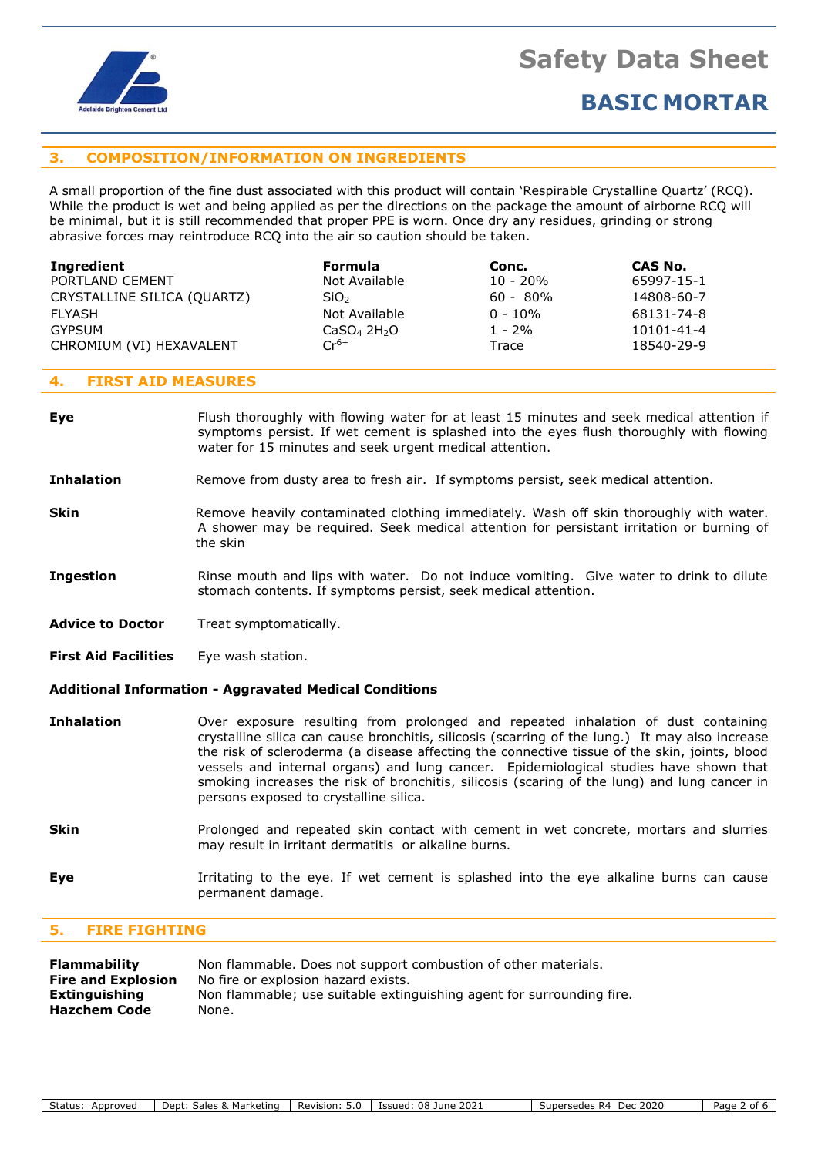

### **3. COMPOSITION/INFORMATION ON INGREDIENTS**

A small proportion of the fine dust associated with this product will contain 'Respirable Crystalline Quartz' (RCQ). While the product is wet and being applied as per the directions on the package the amount of airborne RCQ will be minimal, but it is still recommended that proper PPE is worn. Once dry any residues, grinding or strong abrasive forces may reintroduce RCQ into the air so caution should be taken.

| Ingredient                  | <b>Formula</b>                      | Conc.       | CAS No.    |
|-----------------------------|-------------------------------------|-------------|------------|
| PORTLAND CEMENT             | Not Available                       | $10 - 20%$  | 65997-15-1 |
| CRYSTALLINE SILICA (QUARTZ) | SiO <sub>2</sub>                    | $60 - 80\%$ | 14808-60-7 |
| <b>FLYASH</b>               | Not Available                       | $0 - 10\%$  | 68131-74-8 |
| GYPSUM                      | CaSO <sub>4</sub> 2H <sub>2</sub> O | $1 - 2%$    | 10101-41-4 |
| CHROMIUM (VI) HEXAVALENT    | $Cr^{6+}$                           | Trace       | 18540-29-9 |

#### **4. FIRST AID MEASURES**

**Eye** Flush thoroughly with flowing water for at least 15 minutes and seek medical attention if symptoms persist. If wet cement is splashed into the eyes flush thoroughly with flowing water for 15 minutes and seek urgent medical attention.

#### **Inhalation** Remove from dusty area to fresh air. If symptoms persist, seek medical attention.

- **Skin** Remove heavily contaminated clothing immediately. Wash off skin thoroughly with water. A shower may be required. Seek medical attention for persistant irritation or burning of the skin
- **Ingestion** Rinse mouth and lips with water. Do not induce vomiting. Give water to drink to dilute stomach contents. If symptoms persist, seek medical attention.
- Advice to Doctor Treat symptomatically.
- **First Aid Facilities** Eye wash station.

#### **Additional Information - Aggravated Medical Conditions**

- **Inhalation** Over exposure resulting from prolonged and repeated inhalation of dust containing crystalline silica can cause bronchitis, silicosis (scarring of the lung.) It may also increase the risk of scleroderma (a disease affecting the connective tissue of the skin, joints, blood vessels and internal organs) and lung cancer. Epidemiological studies have shown that smoking increases the risk of bronchitis, silicosis (scaring of the lung) and lung cancer in persons exposed to crystalline silica.
- **Skin** Prolonged and repeated skin contact with cement in wet concrete, mortars and slurries may result in irritant dermatitis or alkaline burns.
- **Eye I**rritating to the eye. If wet cement is splashed into the eye alkaline burns can cause permanent damage.

#### **5. FIRE FIGHTING**

| Non flammable. Does not support combustion of other materials.        |
|-----------------------------------------------------------------------|
| No fire or explosion hazard exists.                                   |
| Non flammable; use suitable extinguishing agent for surrounding fire. |
| None.                                                                 |
|                                                                       |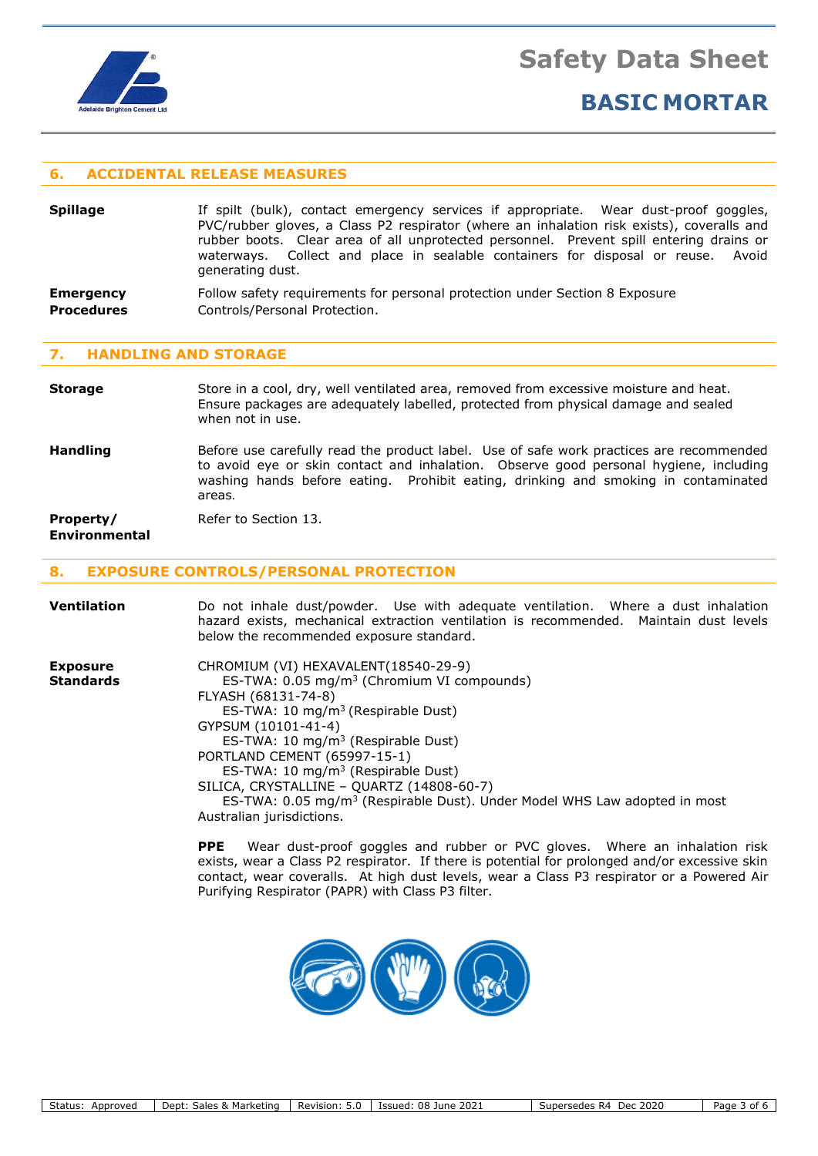

### **BASIC MORTAR**

#### **6. ACCIDENTAL RELEASE MEASURES**

| <b>Spillage</b>  | If spilt (bulk), contact emergency services if appropriate. Wear dust-proof goggles,<br>PVC/rubber gloves, a Class P2 respirator (where an inhalation risk exists), coveralls and<br>rubber boots. Clear area of all unprotected personnel. Prevent spill entering drains or<br>waterways. Collect and place in sealable containers for disposal or reuse. Avoid<br>generating dust. |
|------------------|--------------------------------------------------------------------------------------------------------------------------------------------------------------------------------------------------------------------------------------------------------------------------------------------------------------------------------------------------------------------------------------|
| <b>Emergency</b> | Follow safety requirements for personal protection under Section 8 Exposure                                                                                                                                                                                                                                                                                                          |

### **Procedures Controls/Personal Protection.**

#### **7. HANDLING AND STORAGE**

**Storage** Store in a cool, dry, well ventilated area, removed from excessive moisture and heat. Ensure packages are adequately labelled, protected from physical damage and sealed when not in use.

**Handling** Before use carefully read the product label. Use of safe work practices are recommended to avoid eye or skin contact and inhalation. Observe good personal hygiene, including washing hands before eating. Prohibit eating, drinking and smoking in contaminated areas.

**Property/** Refer to Section 13.

#### **Environmental**

#### **8. EXPOSURE CONTROLS/PERSONAL PROTECTION**

| <b>Ventilation</b> | Do not inhale dust/powder. Use with adequate ventilation. Where a dust inhalation<br>hazard exists, mechanical extraction ventilation is recommended. Maintain dust levels<br>below the recommended exposure standard. |
|--------------------|------------------------------------------------------------------------------------------------------------------------------------------------------------------------------------------------------------------------|
| <b>Exposure</b>    | CHROMIUM (VI) HEXAVALENT(18540-29-9)                                                                                                                                                                                   |
| <b>Standards</b>   | ES-TWA: 0.05 mg/m <sup>3</sup> (Chromium VI compounds)<br>FLYASH (68131-74-8)                                                                                                                                          |
|                    | ES-TWA: 10 mg/m <sup>3</sup> (Respirable Dust)                                                                                                                                                                         |
|                    | GYPSUM (10101-41-4)                                                                                                                                                                                                    |
|                    | ES-TWA: 10 mg/m <sup>3</sup> (Respirable Dust)                                                                                                                                                                         |
|                    | PORTLAND CEMENT (65997-15-1)                                                                                                                                                                                           |
|                    | ES-TWA: 10 mg/m <sup>3</sup> (Respirable Dust)                                                                                                                                                                         |
|                    | SILICA, CRYSTALLINE - QUARTZ (14808-60-7)                                                                                                                                                                              |

ES-TWA: 0.05 mg/m<sup>3</sup> (Respirable Dust). Under Model WHS Law adopted in most Australian jurisdictions.

**PPE** Wear dust-proof goggles and rubber or PVC gloves. Where an inhalation risk exists, wear a Class P2 respirator. If there is potential for prolonged and/or excessive skin contact, wear coveralls. At high dust levels, wear a Class P3 respirator or a Powered Air Purifying Respirator (PAPR) with Class P3 filter.

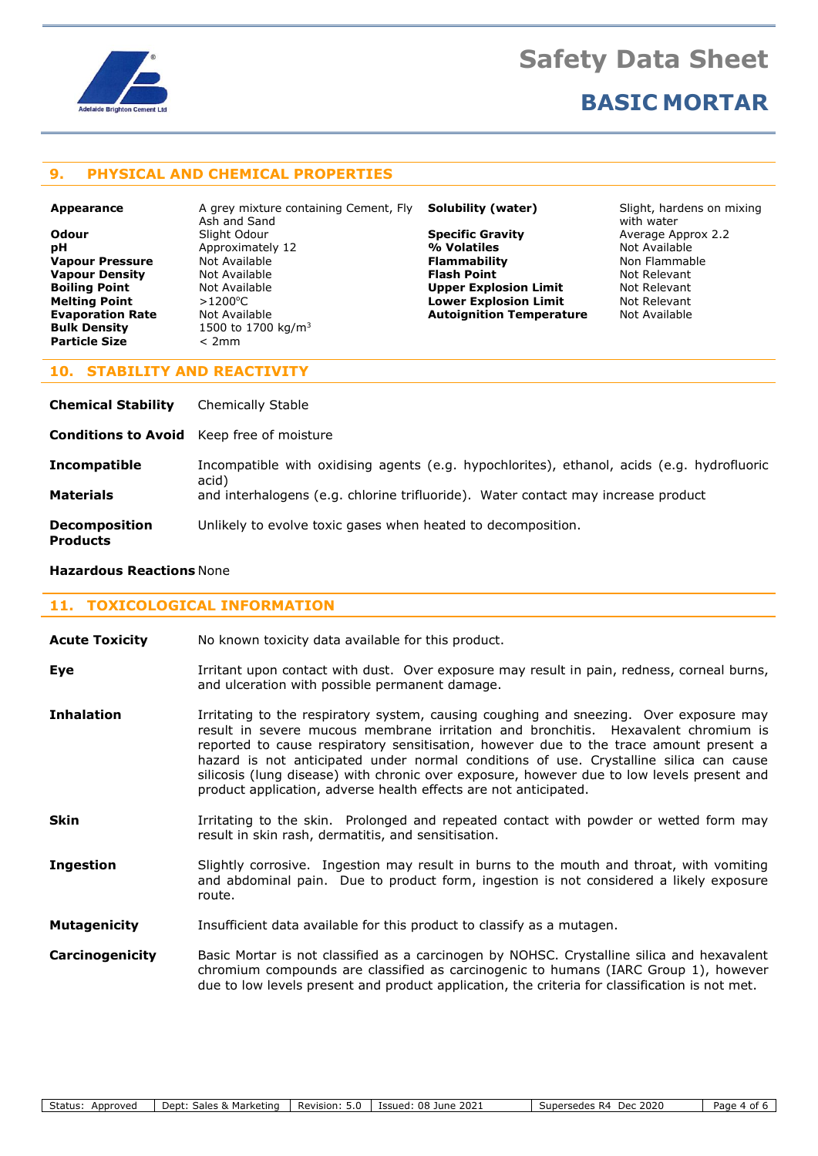

#### **9. PHYSICAL AND CHEMICAL PROPERTIES**

**pH** Approximately 12 **Particle Size** < 2mm

**Appearance** A grey mixture containing Cement, Fly Ash and Sand **Odour** Slight Odour **Superfic Gravity** Average Approx 2.2<br> **pH** Approximately 12 **9% Volatiles** Mot Available **Vapour Pressure** Mot Available **Flammability Flammability** Non Flammable **Vapour Density Not Available <b>Flash Point Relevant** Not Relevant **Boiling Point Not Available 1996 Communist Communist Communist Communist Communist Point Arelevant Medicine A<br>
<b>Melting Point** 1997 - 2009 C Communist Communist Communist Communist Arelevant Medicine Arelevant **Melting Point** >1200<sup>o</sup>C **Lower Explosion Limit** Not Relevant **Evaporation Rate Mot Available <b>Autoignition Temperature** Mot Available **Bulk Density** 1500 to 1700 kg/m<sup>3</sup>

**Solubility (water)** Slight, hardens on mixing with water

#### **10. STABILITY AND REACTIVITY**

| <b>Chemical Stability</b>               | Chemically Stable                                                                                   |
|-----------------------------------------|-----------------------------------------------------------------------------------------------------|
|                                         | <b>Conditions to Avoid</b> Keep free of moisture                                                    |
| Incompatible                            | Incompatible with oxidising agents (e.g. hypochlorites), ethanol, acids (e.g. hydrofluoric<br>acid) |
| <b>Materials</b>                        | and interhalogens (e.g. chlorine trifluoride). Water contact may increase product                   |
| <b>Decomposition</b><br><b>Products</b> | Unlikely to evolve toxic gases when heated to decomposition.                                        |

#### **Hazardous Reactions** None

#### **11. TOXICOLOGICAL INFORMATION**

| <b>Acute Toxicity</b> | No known toxicity data available for this product.                                                                                                                                                                                                                                                                                                                                                                                                                                                                                 |
|-----------------------|------------------------------------------------------------------------------------------------------------------------------------------------------------------------------------------------------------------------------------------------------------------------------------------------------------------------------------------------------------------------------------------------------------------------------------------------------------------------------------------------------------------------------------|
| Eye                   | Irritant upon contact with dust. Over exposure may result in pain, redness, corneal burns,<br>and ulceration with possible permanent damage.                                                                                                                                                                                                                                                                                                                                                                                       |
| <b>Inhalation</b>     | Irritating to the respiratory system, causing coughing and sneezing. Over exposure may<br>result in severe mucous membrane irritation and bronchitis. Hexavalent chromium is<br>reported to cause respiratory sensitisation, however due to the trace amount present a<br>hazard is not anticipated under normal conditions of use. Crystalline silica can cause<br>silicosis (lung disease) with chronic over exposure, however due to low levels present and<br>product application, adverse health effects are not anticipated. |
| <b>Skin</b>           | Irritating to the skin. Prolonged and repeated contact with powder or wetted form may<br>result in skin rash, dermatitis, and sensitisation.                                                                                                                                                                                                                                                                                                                                                                                       |
| <b>Ingestion</b>      | Slightly corrosive. Ingestion may result in burns to the mouth and throat, with vomiting<br>and abdominal pain. Due to product form, ingestion is not considered a likely exposure<br>route.                                                                                                                                                                                                                                                                                                                                       |
| <b>Mutagenicity</b>   | Insufficient data available for this product to classify as a mutagen.                                                                                                                                                                                                                                                                                                                                                                                                                                                             |
| Carcinogenicity       | Basic Mortar is not classified as a carcinogen by NOHSC. Crystalline silica and hexavalent<br>chromium compounds are classified as carcinogenic to humans (IARC Group 1), however                                                                                                                                                                                                                                                                                                                                                  |

due to low levels present and product application, the criteria for classification is not met.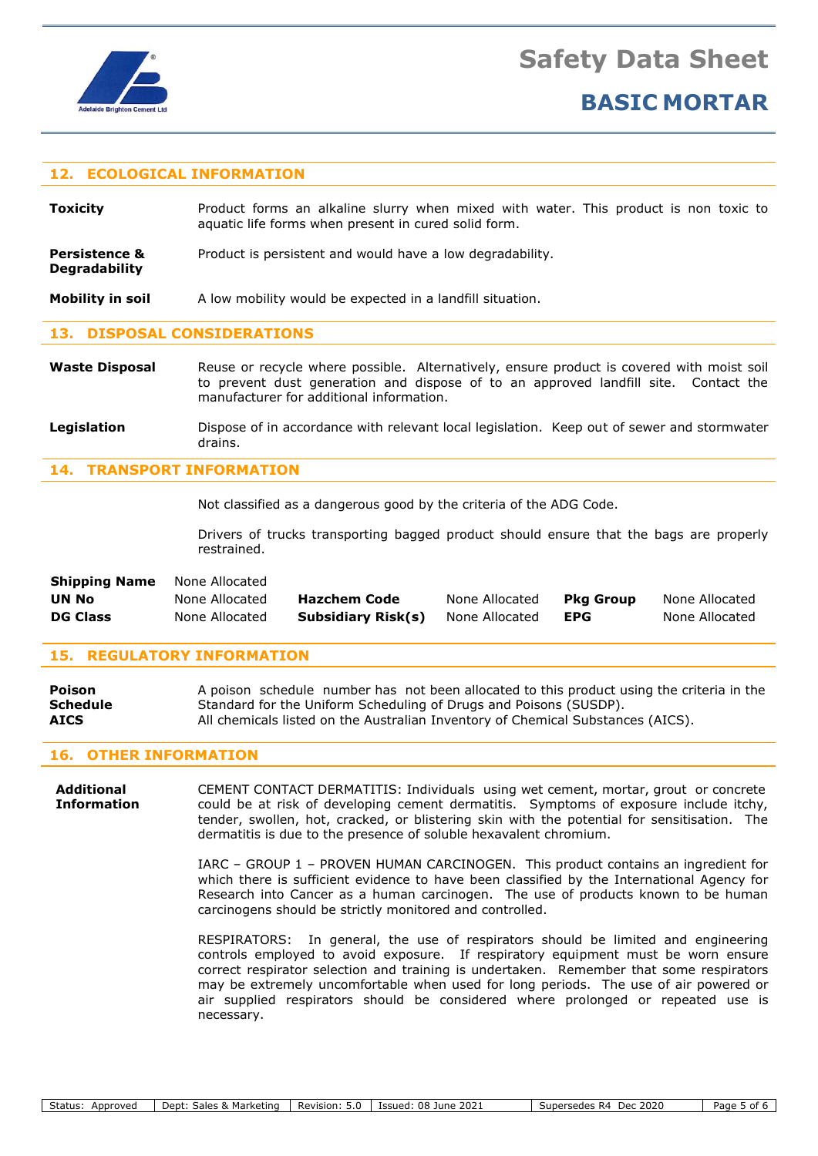

**Degradability**

### **BASIC MORTAR**

#### **12. ECOLOGICAL INFORMATION**

**Toxicity Product forms an alkaline slurry when mixed with water. This product is non toxic to** aquatic life forms when present in cured solid form.

**Persistence &** Product is persistent and would have a low degradability.

**Mobility in soil** A low mobility would be expected in a landfill situation.

#### **13. DISPOSAL CONSIDERATIONS**

- Waste Disposal Reuse or recycle where possible. Alternatively, ensure product is covered with moist soil to prevent dust generation and dispose of to an approved landfill site. Contact the manufacturer for additional information.
- Legislation **Dispose of in accordance with relevant local legislation. Keep out of sewer and stormwater** drains.

#### **14. TRANSPORT INFORMATION**

Not classified as a dangerous good by the criteria of the ADG Code.

Drivers of trucks transporting bagged product should ensure that the bags are properly restrained.

| <b>Shipping Name</b> | None Allocated |                    |                |                  |                |
|----------------------|----------------|--------------------|----------------|------------------|----------------|
| UN No                | None Allocated | Hazchem Code       | None Allocated | <b>Pka Group</b> | None Allocated |
| <b>DG Class</b>      | None Allocated | Subsidiary Risk(s) | None Allocated | <b>EPG</b>       | None Allocated |

#### **15. REGULATORY INFORMATION**

| Poison          | A poison schedule number has not been allocated to this product using the criteria in the |
|-----------------|-------------------------------------------------------------------------------------------|
| <b>Schedule</b> | Standard for the Uniform Scheduling of Drugs and Poisons (SUSDP).                         |
| <b>AICS</b>     | All chemicals listed on the Australian Inventory of Chemical Substances (AICS).           |

#### **16. OTHER INFORMATION**

**Additional** CEMENT CONTACT DERMATITIS: Individuals using wet cement, mortar, grout or concrete **Information** could be at risk of developing cement dermatitis. Symptoms of exposure include itchy, tender, swollen, hot, cracked, or blistering skin with the potential for sensitisation. The dermatitis is due to the presence of soluble hexavalent chromium.

> IARC – GROUP 1 – PROVEN HUMAN CARCINOGEN. This product contains an ingredient for which there is sufficient evidence to have been classified by the International Agency for Research into Cancer as a human carcinogen. The use of products known to be human carcinogens should be strictly monitored and controlled.

> RESPIRATORS: In general, the use of respirators should be limited and engineering controls employed to avoid exposure. If respiratory equipment must be worn ensure correct respirator selection and training is undertaken. Remember that some respirators may be extremely uncomfortable when used for long periods. The use of air powered or air supplied respirators should be considered where prolonged or repeated use is necessary.